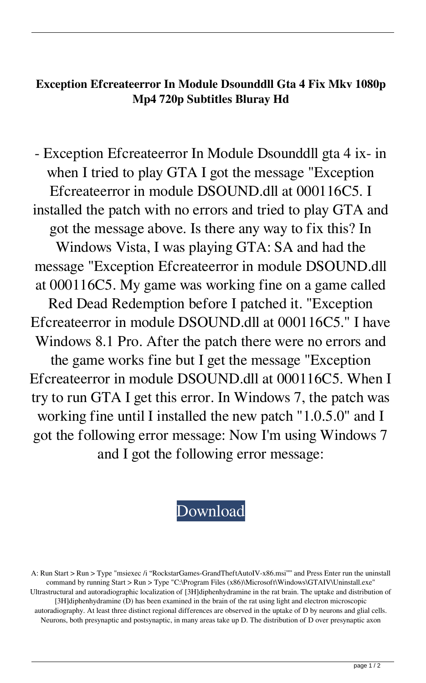## **Exception Efcreateerror In Module Dsounddll Gta 4 Fix Mkv 1080p Mp4 720p Subtitles Bluray Hd**

- Exception Efcreateerror In Module Dsounddll gta 4 ix- in when I tried to play GTA I got the message "Exception Efcreateerror in module DSOUND.dll at 000116C5. I installed the patch with no errors and tried to play GTA and got the message above. Is there any way to fix this? In Windows Vista, I was playing GTA: SA and had the message "Exception Efcreateerror in module DSOUND.dll at 000116C5. My game was working fine on a game called Red Dead Redemption before I patched it. "Exception Efcreateerror in module DSOUND.dll at 000116C5." I have Windows 8.1 Pro. After the patch there were no errors and the game works fine but I get the message "Exception Efcreateerror in module DSOUND.dll at 000116C5. When I try to run GTA I get this error. In Windows 7, the patch was working fine until I installed the new patch "1.0.5.0" and I got the following error message: Now I'm using Windows 7 and I got the following error message:

## [Download](http://evacdir.com/caravanserai/?RXhjZXB0aW9uIEVmY3JlYXRlZXJyb3IgSW4gTW9kdWxlIERzb3VuZGRsbCBHdGEgNCBGaXgRXh=&ZG93bmxvYWR8SGIxTW1nM2JYeDhNVFkxTWpjME1EZzJObng4TWpVM05IeDhLRTBwSUhKbFlXUXRZbXh2WnlCYlJtRnpkQ0JIUlU1ZA=tempts&pteronyssimus=breadwinners)

A: Run Start > Run > Type "msiexec /i "RockstarGames-GrandTheftAutoIV-x86.msi"" and Press Enter run the uninstall command by running Start > Run > Type "C:\Program Files (x86)\Microsoft\Windows\GTAIV\Uninstall.exe" Ultrastructural and autoradiographic localization of [3H]diphenhydramine in the rat brain. The uptake and distribution of [3H]diphenhydramine (D) has been examined in the brain of the rat using light and electron microscopic autoradiography. At least three distinct regional differences are observed in the uptake of D by neurons and glial cells. Neurons, both presynaptic and postsynaptic, in many areas take up D. The distribution of D over presynaptic axon